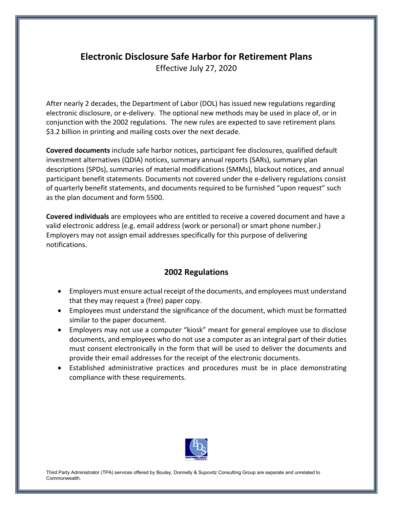## **Electronic Disclosure Safe Harbor for Retirement Plans**

Effective July 27, 2020

After nearly 2 decades, the Department of Labor (DOL) has issued new regulations regarding electronic disclosure, or e-delivery. The optional new methods may be used in place of, or in conjunction with the 2002 regulations. The new rules are expected to save retirement plans \$3.2 billion in printing and mailing costs over the next decade.

**Covered documents** include safe harbor notices, participant fee disclosures, qualified default investment alternatives (QDIA) notices, summary annual reports (SARs), summary plan descriptions (SPDs), summaries of material modifications (SMMs), blackout notices, and annual participant benefit statements. Documents not covered under the e-delivery regulations consist of quarterly benefit statements, and documents required to be furnished "upon request" such as the plan document and form 5500.

**Covered individuals** are employees who are entitled to receive a covered document and have a valid electronic address (e.g. email address (work or personal) or smart phone number.) Employers may not assign email addresses specifically for this purpose of delivering notifications.

## **2002 Regulations**

- Employers must ensure actual receipt of the documents, and employees must understand that they may request a (free) paper copy.
- Employees must understand the significance of the document, which must be formatted similar to the paper document.
- Employers may not use a computer "kiosk" meant for general employee use to disclose documents, and employees who do not use a computer as an integral part of their duties must consent electronically in the form that will be used to deliver the documents and provide their email addresses for the receipt of the electronic documents.
- Established administrative practices and procedures must be in place demonstrating compliance with these requirements.



Third Party Administrator (TPA) services offered by Boulay, Donnelly & Supovitz Consulting Group are separate and unrelated to Commonwealth.